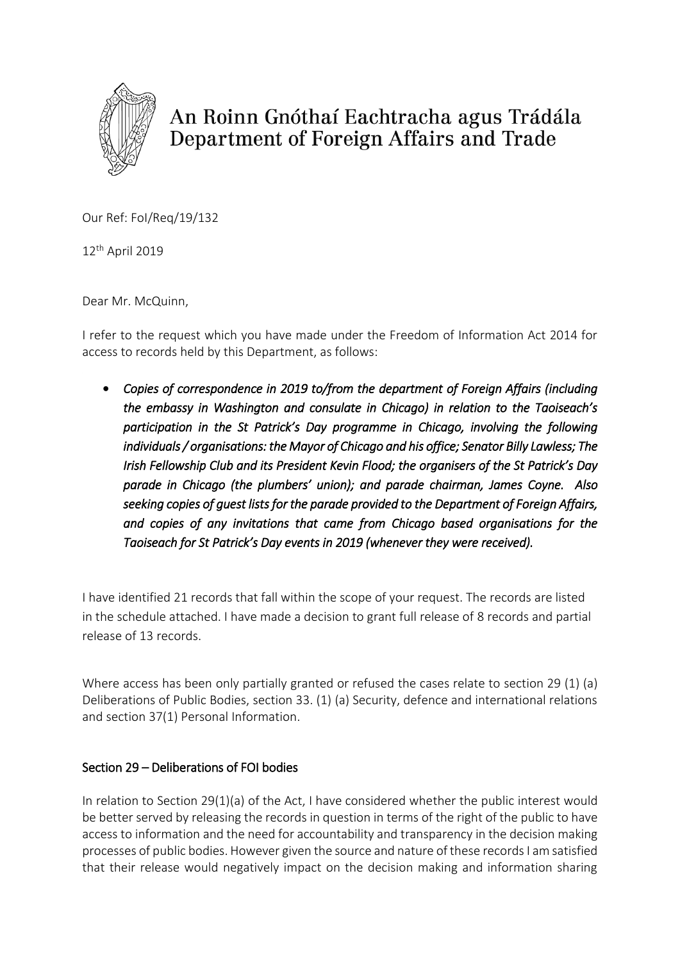

An Roinn Gnóthaí Eachtracha agus Trádála Department of Foreign Affairs and Trade

Our Ref: FoI/Req/19/132

12th April 2019

Dear Mr. McQuinn,

I refer to the request which you have made under the Freedom of Information Act 2014 for access to records held by this Department, as follows:

 *Copies of correspondence in 2019 to/from the department of Foreign Affairs (including the embassy in Washington and consulate in Chicago) in relation to the Taoiseach's participation in the St Patrick's Day programme in Chicago, involving the following individuals / organisations: the Mayor of Chicago and his office; Senator Billy Lawless; The Irish Fellowship Club and its President Kevin Flood; the organisers of the St Patrick's Day parade in Chicago (the plumbers' union); and parade chairman, James Coyne. Also seeking copies of guest lists for the parade provided to the Department of Foreign Affairs, and copies of any invitations that came from Chicago based organisations for the Taoiseach for St Patrick's Day events in 2019 (whenever they were received).* 

I have identified 21 records that fall within the scope of your request. The records are listed in the schedule attached. I have made a decision to grant full release of 8 records and partial release of 13 records.

Where access has been only partially granted or refused the cases relate to section 29 (1) (a) Deliberations of Public Bodies, section 33. (1) (a) Security, defence and international relations and section 37(1) Personal Information.

## Section 29 – Deliberations of FOI bodies

In relation to Section 29(1)(a) of the Act, I have considered whether the public interest would be better served by releasing the records in question in terms of the right of the public to have access to information and the need for accountability and transparency in the decision making processes of public bodies. However given the source and nature of these records I am satisfied that their release would negatively impact on the decision making and information sharing